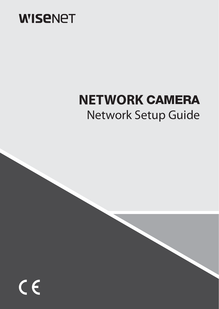

# **NETWORK CAMERA** Network Setup Guide

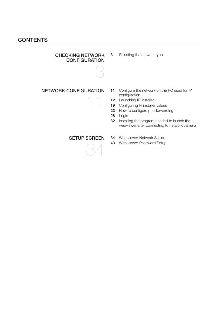## **CONTENTS**

#### CHECKING NETWORK **CONFIGURATION**



3 Selecting the network type

### NETWORK CONFIGURATION

- 11 Configure the network on the PC used for IP configuration
- 12 Launching IP Installer
- 19 Configuring IP installer values
- 23 How to configure port forwarding
- 28 Login
- 32 Installing the program needed to launch the webviewer after connecting to network camera

### SETUP SCREEN

34

11

- 34 Web viewer-Network Setup
- 43 Web viewer-Password Setup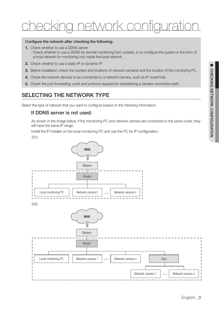# a*lork contigura*

#### Configure the network after checking the following.

- **1.** Check whether to use a DDNS server.
	- Check whether to use a DDNS for remote monitoring from outside, or to configure the system in the form of a local network for monitoring only inside the local network.
- **2.** Check whether to use a static IP or dynamic IP.
- **3.** Before installation, check the number and locations of network cameras and the location of the monitoring PC.
- **4.** Check the network devices to be connected to a network camera, such as IP router/hub.
- **5.** Check the port forwarding, ports and protocol required for establishing a camera connection path.

## SELECTING THE NETWORK TYPE

Select the type of network that you want to configure based on the following information.

### If DDNS server is not used:

As shown in the image below, if the monitoring PC and network camera are connected to the same router, they will have the same IP range.

Install the IP installer on the local monitoring PC and use the PC for IP configuration.

EX1)



●

CHECKING NETWORK CONFIGURATION

CHECKING NETWORK CONFIGURATION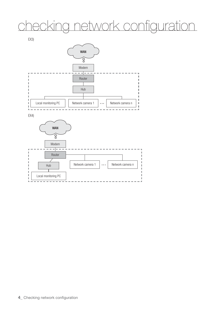# checking network configuration



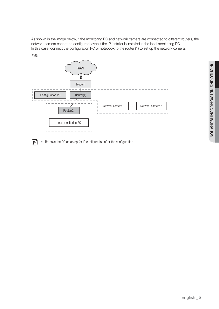As shown in the image below, if the monitoring PC and network camera are connected to different routers, the network camera cannot be configured, even if the IP installer is installed in the local monitoring PC. In this case, connect the configuration PC or notebook to the router (1) to set up the network camera.





 $\mathbb{Z}$  = Remove the PC or laptop for IP configuration after the configuration.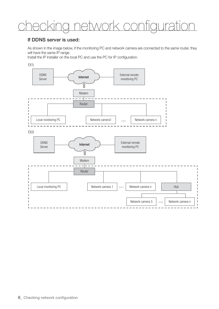# ig network configuration

### If DDNS server is used:

As shown in the image below, if the monitoring PC and network camera are connected to the same router, they will have the same IP range.

Install the IP Installer on the local PC and use the PC for IP configuration.

EX<sub>1</sub>

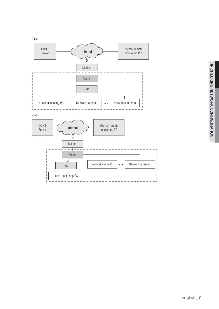

EX4)

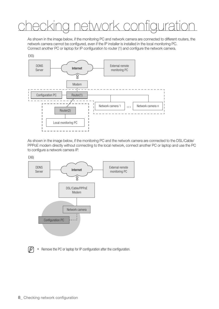# checking network configuration

As shown in the image below, if the monitoring PC and network camera are connected to different routers, the network camera cannot be configured, even if the IP installer is installed in the local monitoring PC. Connect another PC or laptop for IP configuration to router (1) and configure the network camera.



As shown in the image below, if the monitoring PC and the network camera are connected to the DSL/Cable/ PPPoE modem directly without connecting to the local network, connect another PC or laptop and use the PC to configure a network camera IP.





 $\mathbb{Z}$  **Remove the PC or laptop for IP configuration after the configuration.**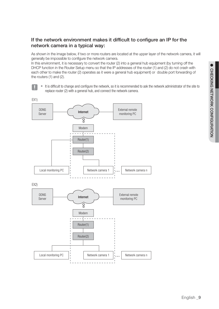## If the network environment makes it difficult to configure an IP for the network camera in a typical way:

As shown in the image below, if two or more routers are located at the upper layer of the network camera, it will generally be impossible to configure the network camera.

In this environment, it is necessary to convert the router (2) into a general hub equipment (by turning off the DHCP function in the Router Setup menu so that the IP addresses of the router (1) and (2) do not crash with each other to make the router (2) operates as it were a general hub equipment) or double port forwarding of the routers (1) and (2).

- 
- It is difficult to change and configure the network, so it is recommended to ask the network administrator of the site to replace router (2) with a general hub, and connect the network camera.

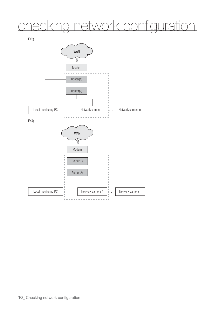# checking network configuration

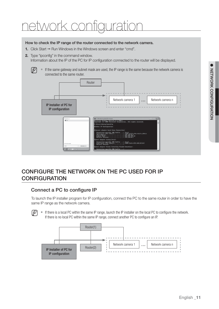## work configuratic

#### How to check the IP range of the router connected to the network camera.

- **1.** Click Start  $\rightarrow$  Run Windows in the Windows screen and enter "cmd".
- **2.** Type "ipconfig" in the command window. Information about the IP of the PC for IP configuration connected to the router will be displayed.





## CONFIGURE THE NETWORK ON THE PC USED FOR IP **CONFIGURATION**

## Connect a PC to configure IP

To launch the IP installer program for IP configuration, connect the PC to the same router in order to have the same IP range as the network camera.

If  $\mathbb{Z}$   $\blacksquare$  If there is a local PC within the same IP range, launch the IP installer on the local PC to configure the network. If there is no local PC within the same IP range, connect another PC to configure an IP.

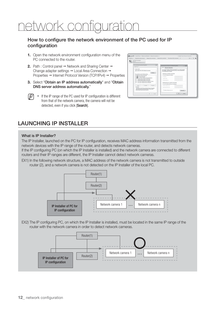## k configuratio

## How to configure the network environment of the PC used for IP configuration

- **1.** Open the network environment configuration menu of the PC connected to the router.
- **2.** Path : Control panel → Network and Sharing Center → Change adapter settings → Local Area Connection → Properties → Internet Protocol Version (TCP/IPv4) → Properties
- **3.** Select "Obtain an IP address automatically" and "Obtain DNS server address automatically."
- $\mathbb{Z}$  = If the IP range of the PC used for IP configuration is different from that of the network camera, the camera will not be detected, even if you click [Search].



## LAUNCHING IP INSTALLER

#### What is IP Installer?

The IP Installer, launched on the PC for IP configuration, receives MAC address information transmitted from the network devices with the IP range of the router, and detects network cameras.

If the IP configuring PC (on which the IP Installer is installed) and the network camera are connected to different routers and their IP ranges are different, the IP Installer cannot detect network cameras.

EX1) In the following network structure, a MAC address of the network camera is not transmitted to outside router (2), and a network camera is not detected on the IP Installer of the local PC.



EX2) The IP configuring PC, on which the IP Installer is installed, must be located in the same IP range of the router with the network camera in order to detect network cameras.

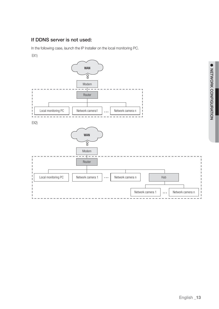## If DDNS server is not used:

In the following case, launch the IP Installer on the local monitoring PC.

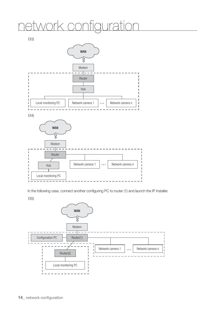# etwork configuration



In the following case, connect another configuring PC to router (1) and launch the IP Installer.

EX5)

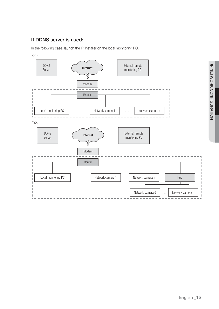## If DDNS server is used:

In the following case, launch the IP Installer on the local monitoring PC.

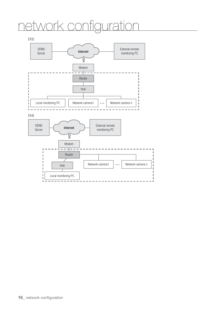# network configuration

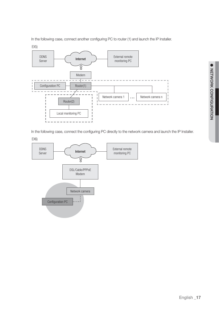● NETWORK CONFIGURATION NETWORK CONFIGURATION

In the following case, connect another configuring PC to router (1) and launch the IP Installer.



In the following case, connect the configuring PC directly to the network camera and launch the IP Installer.

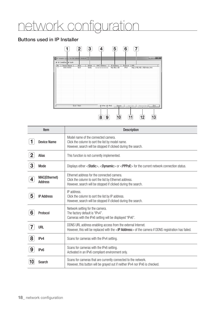# atwork configuration

## Buttons used in IP Installer



|                | Item                                   | <b>Description</b>                                                                                                                                                          |
|----------------|----------------------------------------|-----------------------------------------------------------------------------------------------------------------------------------------------------------------------------|
|                | <b>Device Name</b>                     | Model name of the connected camera.<br>Click the column to sort the list by model name.<br>However, search will be stopped if clicked during the search.                    |
| $\overline{2}$ | <b>Alias</b>                           | This function is not currently implemented.                                                                                                                                 |
| 3              | Mode                                   | Displays either <static>, <dynamic> or <pppoe> for the current network connection status.</pppoe></dynamic></static>                                                        |
| 4              | <b>MAC(Ethernet)</b><br><b>Address</b> | Ethernet address for the connected camera.<br>Click the column to sort the list by Ethernet address.<br>However, search will be stopped if clicked during the search.       |
| 5              | <b>IP Address</b>                      | IP address.<br>Click the column to sort the list by IP address.<br>However, search will be stopped if clicked during the search.                                            |
| 6              | Protocol                               | Network setting for the camera.<br>The factory default is "IPv4".<br>Cameras with the IPv6 setting will be displayed "IPv6".                                                |
|                | <b>URL</b>                             | DDNS URL address enabling access from the external Internet.<br>However, this will be replaced with the <ip address=""> of the camera if DDNS registration has failed.</ip> |
| 8              | IP <sub>v4</sub>                       | Scans for cameras with the IPv4 setting.                                                                                                                                    |
| 9              | IP <sub>v6</sub>                       | Scans for cameras with the IPv6 setting.<br>Activated in an IPv6 compliant environment only.                                                                                |
|                | Search                                 | Scans for cameras that are currently connected to the network.<br>However, this button will be grayed out if neither IPv4 nor IPv6 is checked.                              |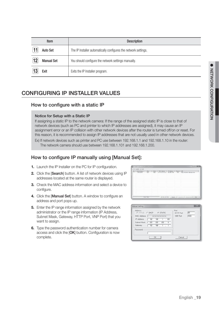|    | <b>Item</b>       | <b>Description</b>                                              |
|----|-------------------|-----------------------------------------------------------------|
|    | <b>Auto Set</b>   | The IP Installer automatically configures the network settings. |
| 12 | <b>Manual Set</b> | You should configure the network settings manually.             |
|    | Exit              | Exits the IP Installer program.                                 |

## CONFIGURING IP INSTALLER VALUES

### How to configure with a static IP

#### Notice for Setup with a Static IP

If assigning a static IP to the network camera: If the range of the assigned static IP is close to that of network devices (such as PC and printer to which IP addresses are assigned), it may cause an IP assignment error or an IP collision with other network devices after the router is turned off/on or reset. For this reason, it is recommended to assign IP addresses that are not usually used in other network devices.

Ex) If network devices such as printer and PC use between 192.168.1.1 and 192.168.1.10 in the router: The network camera should use between 192.168.1.101 and 192.168.1.200.

## How to configure IP manually using [Manual Set]:

- **1.** Launch the IP Installer on the PC for IP configuration.
- **2.** Click the [Search] button. A list of network devices using IP addresses located at the same router is displayed.
- **3.** Check the MAC address information and select a device to configure.
- 4. Click the [Manual Set] button. A window to configure an address and port pops up.
- **5.** Enter the IP range information assigned by the network administrator or the IP range information (IP Address, Subnet Mask, Gateway, HTTP Port, VNP Port) that you want to assign.
- **6.** Type the password authentication number for camera access and click the [OK] button. Configuration is now complete.

| <b>P CAMERA SP MAR</b>       |                    |  |  |                                                                                                                                              |  |
|------------------------------|--------------------|--|--|----------------------------------------------------------------------------------------------------------------------------------------------|--|
| [ Device fiame ]<br>XXX-XXXX | $\frac{1}{N_0A}$   |  |  | Mode   MAC Address   P Address   Protocol   URL<br>  Dalc   en terminalista per   URL URL   Dalc   Mg // PE   Mg // PE   URL URL Poders have |  |
|                              | <b>Drah I Banc</b> |  |  | P PH P PH _ Suns   Lander   Handler   Bit                                                                                                    |  |

| Address<br>C PPPoE C DHCP G STATIC<br>MAC Address<br>RECREDIENCON DOCUMENT<br>IP Address<br>$192.160$ .<br>$100 -$<br>T.<br>÷<br>Subnet Mask<br>$255 - 255 - 255 - 0$<br>Gateway.<br>192.168 | Port<br><b>HTTP Port</b><br><b>VNP Port</b> | 网<br>4520 |
|----------------------------------------------------------------------------------------------------------------------------------------------------------------------------------------------|---------------------------------------------|-----------|
| -Password<br>0K                                                                                                                                                                              | Cancel                                      |           |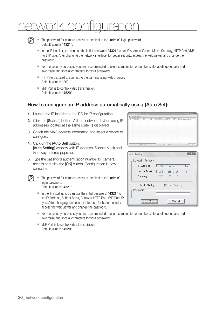# network configuration



■ The password for camera access is identical to the "admin" login password. Default value is "4321".

- In the IP installer, you can use the initial password, "4321" to set IP Address, Subnet Mask, Gateway, HTTP Port, VNP Port, IP type. After changing the network interface, for better security, access the web viewer and change the password.
- For the security purposes, you are recommended to use a combination of numbers, alphabets uppercase and lowercase and special characters for your password.
- **HTTP Port is used to connect to the camera using web browser.** Default value is "80".
- VNP Port is to control video transmission. Default value is "4520".

## How to configure an IP address automatically using [Auto Set]:

- **1.** Launch the IP Installer on the PC for IP configuration.
- **2.** Click the [Search] button. A list of network devices using IP addresses located at the same router is displayed.
- **3.** Check the MAC address information and select a device to configure.
- **4.** Click on the [Auto Set] button. [Auto Setting] window with IP Address, Subnet Mask and Gateway entered pops up.
- **5.** Type the password authentication number for camera access and click the [OK] button. Configuration is now complete.
- 

■ The password for camera access is identical to the "admin" login password. Default value is "4321".

In the IP installer, you can use the initial password, " $4321$ " to set IP Address, Subnet Mask, Gateway, HTTP Port, VNP Port, IP type. After changing the network interface, for better security, access the web viewer and change the password.

r e campion te nom.<br>No I Device Name I - Alles - I - Mode I - MAC Address - I - P Address - I - Problem I - UPL

| Auto Setting                    | 53                     |
|---------------------------------|------------------------|
| Network Information             |                        |
| IP Address                      | $192$ , $168$ .<br>253 |
| Subnet Mask                     | 255 . 255 . 255 .<br>n |
| Gateway                         | $192$ $168$ $1$        |
| $\nabla$ IP Setting<br>Password | $\Box$ Port Mapping    |
|                                 |                        |
| -----------------               | Cancel                 |

- For the security purposes, you are recommended to use a combination of numbers, alphabets uppercase and lowercase and special characters for your password.
- VNP Port is to control video transmission. Default value is "4520".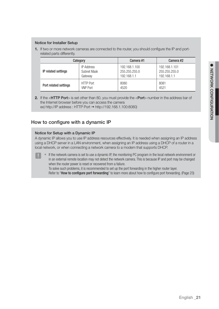#### Notice for Installer Setup

**1.** If two or more network cameras are connected to the router, you should configure the IP and portrelated parts differently.

|                       | Category         | Camera #1     | Camera #2     |
|-----------------------|------------------|---------------|---------------|
| IP related settings   | IP Address       | 192.168.1.100 | 192.168.1.101 |
|                       | Subnet Mask      | 255.255.255.0 | 255.255.255.0 |
|                       | Gatewav          | 192.168.1.1   | 192.168.1.1   |
| Port related settings | <b>HTTP Port</b> | 8080          | 8081          |
|                       | VNP Port         | 4520          | 4521          |

**2.** If the <**HTTP Port**> is set other than 80, you must provide the <**Port**> number in the address bar of the Internet browser before you can access the camera ex) http://IP address : HTTP Port → http://192.168.1.100:8080)

## How to configure with a dynamic IP

#### Notice for Setup with a Dynamic IP

A dynamic IP allows you to use IP address resources effectively. It is needed when assigning an IP address using a DHCP server in a LAN environment, when assigning an IP address using a DHCP of a router in a local network, or when connecting a network camera to a modem that supports DHCP.

If the network camera is set to use a dynamic IP, the monitoring PC program in the local network environment or in an external remote location may not detect the network camera. This is because IP and port may be changed when the router power is reset or recovered from a failure. To solve such problems, it is recommended to set up the port forwarding in the higher router layer.

Refer to "How to configure port forwarding" to learn more about how to configure port forwarding. (Page 23)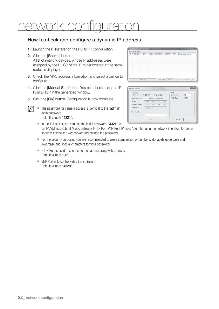# network configuration

## How to check and configure a dynamic IP address

- **1.** Launch the IP Installer on the PC for IP configuration.
- **2.** Click the [Search] button. A list of network devices, whose IP addresses were assigned by the DHCP of the IP router located at the same router, is displayed.
- **3.** Check the MAC address information and select a device to configure.
- 4. Click the [Manual Set] button. You can check assigned IP from DHCP in the generated window.
- **5.** Click the [OK] button. Configuration is now complete.
	- The password for camera access is identical to the "admin" login password. Default value is "4321".
		- In the IP installer, you can use the initial password, "4321" to set IP Address, Subnet Mask, Gateway, HTTP Port, VNP Port, IP type. After changing the network interface, for better security, access the web viewer and change the password.
		- For the security purposes, you are recommended to use a combination of numbers, alphabets uppercase and lowercase and special characters for your password.
		- **HTTP Port is used to connect to the camera using web browser.** Default value is "80".
		- VNP Port is to control video transmission. Default value is "4520".



| Address<br>$C$ PPP $oE$<br>G DHCP<br>C STATIC | Port<br><b>HTTP Port</b> | ண    |
|-----------------------------------------------|--------------------------|------|
| MAC Address<br>RECEIVED AN ONE ON A CHARGE    | <b>VNP Port</b>          | 4520 |
| IP Address<br>$100 -$<br>192.168              |                          |      |
| $255$ .<br>Subnet Mask<br>$255$ .<br>255<br>n |                          |      |
| Gateway<br>$192$ . $168$                      |                          |      |
| -Password                                     |                          |      |
|                                               |                          |      |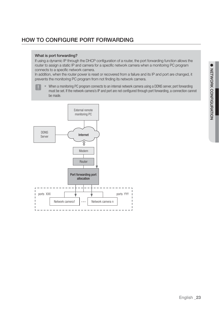## HOW TO CONFIGURE PORT FORWARDING

#### What is port forwarding?

If using a dynamic IP through the DHCP configuration of a router, the port forwarding function allows the router to assign a static IP and camera for a specific network camera when a monitoring PC program connects to a specific network camera.

In addition, when the router power is reset or recovered from a failure and its IP and port are changed, it prevents the monitoring PC program from not finding its network camera.

When a monitoring PC program connects to an internal network camera using a DDNS server, port forwarding must be set. If the network camera's IP and port are not configured through port forwarding, a connection cannot be made.

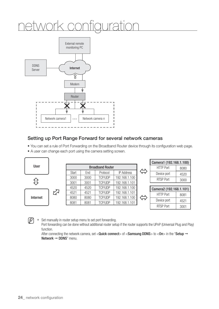## network configuration



## Setting up Port Range Forward for several network cameras

- You can set a rule of Port Forwarding on the Broadband Router device through its configuration web page.
- A user can change each port using the camera setting screen.



 $\mathbb{Z}$   $\blacksquare$  Set manually in router setup menu to set port forwarding.

Port forwarding can be done without additional router setup if the router supports the UPnP (Universal Plug and Play) function.

After connecting the network camera, set < Quick connect> of < Samsung DDNS> to < On> in the "Setup  $\rightarrow$ Network  $\rightarrow$  DDNS" menu.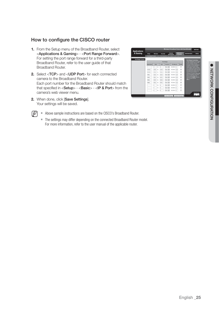## How to configure the CISCO router

- **1.** From the Setup menu of the Broadband Router, select <Applications & Gaming> - <Port Range Forward>. For setting the port range forward for a third-party Broadband Router, refer to the user guide of that Broadband Router.
- **2.** Select <TCP> and <UDP Port> for each connected camera to the Broadband Router. Each port number for the Broadband Router should match that specified in <Setup> - <Basic> - <IP & Port> from the camera's web viewer menu.
- **2.** When done, click [Save Settings]. Your settings will be saved.



- $\mathbb{Z}$  = Above sample instructions are based on the CISCO's Broadband Router.
	- The settings may differ depending on the connected Broadband Router model. For more information, refer to the user manual of the applicable router.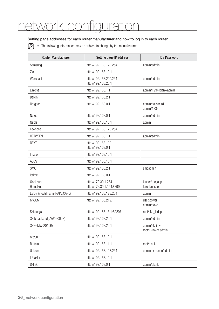## network configuration

#### Setting page addresses for each router manufacturer and how to log in to each router

 $\mathbb{Z}$  = The following information may be subject to change by the manufacturer.

| <b>Router Manufacturer</b>   | Setting page IP address                         | <b>ID / Password</b>                |
|------------------------------|-------------------------------------------------|-------------------------------------|
| Samsung                      | http://192.168.123.254                          | admin/admin                         |
| Zio                          | http://192.168.10.1                             |                                     |
| Wavecast                     | http://192.168.200.254<br>http://192.168.25.1   | admin/admin                         |
| Linksys                      | http://192.168.1.1                              | admin/1234 blank/admin              |
| <b>Belkin</b>                | http://192.168.2.1                              |                                     |
| Netgear                      | http://192.168.0.1                              | admin/password<br>admin/1234        |
| Netop                        | http://192.168.0.1                              | admin/admin                         |
| Neple                        | http://192.168.10.1                             | admin                               |
| Levelone                     | http://192.168.123.254                          |                                     |
| <b>NETWEEN</b>               | http://192.168.1.1                              | admin/admin                         |
| <b>NEXT</b>                  | http://192.168.100.1<br>http://192.168.0.1      |                                     |
| Imation                      | http://192.168.10.1                             |                                     |
| <b>ASUS</b>                  | http://192.168.10.1                             |                                     |
| <b>SMC</b>                   | http://192.168.2.1                              | smcadmin                            |
| iptime                       | http://192.168.0.1                              |                                     |
| QookHub<br>HomeHub           | http://172.30.1.254<br>http://172.30.1.254:8899 | ktuser/megaap<br>ktroot/nespot      |
| LGU+ (model name NAPL, CAPL) | http://192.168.123.254                          | admin                               |
| MyLGtv                       | http://192.168.219.1                            | user/power<br>admin/power           |
| Sktelesys                    | http://192.168.15.1:62207                       | root/skb_ipdcp                      |
| SK broadband(DVW-2000N)      | http://192.168.25.1                             | admin/admin                         |
| <b>SKtv (MW-2010R)</b>       | http://192.168.20.1                             | admin/skbiptv<br>root/1234 or admin |
| Anygate                      | http://192.168.10.1                             |                                     |
| <b>Buffalo</b>               | http://192.168.11.1                             | root/blank                          |
| Unicorn                      | http://192.168.123.254                          | admin or admin/admin                |
| LG axler                     | http://192.168.10.1                             |                                     |
| D-link                       | http://192.168.0.1                              | admin/blank                         |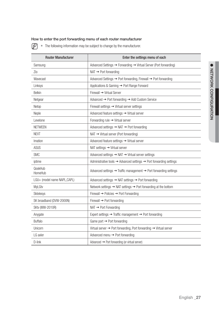#### How to enter the port forwarding menu of each router manufacturer

 $\mathbb{Z}$  = The following information may be subject to change by the manufacturer.

| <b>Router Manufacturer</b>   | Enter the settings menu of each                                                             |
|------------------------------|---------------------------------------------------------------------------------------------|
| Samsung                      | Advanced Settings → Forwarding → Virtual Server (Port forwarding)                           |
| Zio                          | $NAT \rightarrow$ Port forwarding                                                           |
| Wavecast                     | Advanced Settings → Port forwarding, Firewall → Port forwarding                             |
| Linksys                      | Applications & Gaming → Port Range Forward                                                  |
| <b>Belkin</b>                | Firewall → Virtual Server                                                                   |
| Netgear                      | Advanced $\rightarrow$ Port forwarding $\rightarrow$ Add Custom Service                     |
| Netop                        | Firewall settings $\rightarrow$ Virtual server settings                                     |
| Neple                        | Advanced feature settings → Virtual server                                                  |
| Levelone                     | Forwarding rule $\rightarrow$ Virtual server                                                |
| <b>NETWEEN</b>               | Advanced settings $\rightarrow$ NAT $\rightarrow$ Port forwarding                           |
| <b>NEXT</b>                  | $NAT \rightarrow Virtual server$ (Port forwarding)                                          |
| Imation                      | Advanced feature settings → Virtual server                                                  |
| ASUS                         | NAT settings $\rightarrow$ Virtual server                                                   |
| <b>SMC</b>                   | Advanced settings $\rightarrow$ NAT $\rightarrow$ Virtual server settings                   |
| iptime                       | Administrative tools $\rightarrow$ Advanced settings $\rightarrow$ Port forwarding settings |
| QookHub<br>HomeHub           | Advanced settings $\rightarrow$ Traffic management $\rightarrow$ Port forwarding settings   |
| LGU+ (model name NAPL, CAPL) | Advanced settings $\rightarrow$ NAT settings $\rightarrow$ Port forwarding                  |
| MyLGtv                       | Network settings $\rightarrow$ NAT settings $\rightarrow$ Port forwarding at the bottom     |
| Sktelesys                    | Firewall → Policies → Port Forwarding                                                       |
| SK broadband (DVW-2000N)     | Firewall $\rightarrow$ Port forwarding                                                      |
| <b>SKtv (MW-2010R)</b>       | $NAT \rightarrow$ Port Forwarding                                                           |
| Anygate                      | Expert settings $\rightarrow$ Traffic management $\rightarrow$ Port forwarding              |
| <b>Buffalo</b>               | Game port $\rightarrow$ Port forwarding                                                     |
| Unicorn                      | Virtual server $\rightarrow$ Port forwarding, Port forwarding $\rightarrow$ Virtual server  |
| LG axler                     | Advanced menu $\rightarrow$ Port forwarding                                                 |
| $D$ -link                    | Advanced $\rightarrow$ Port forwarding (or virtual server)                                  |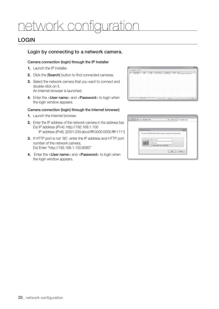## k configuratio

## LOGIN

### Login by connecting to a network camera.

#### Camera connection (login) through the IP Installer

- **1.** Launch the IP Installer.
- **2.** Click the [Search] button to find connected cameras.
- **3.** Select the network camera that you want to connect and double-click on it. An Internet browser is launched.
- 4. Enter the <**User name**> and <**Password**> to login when the login window appears.

#### Camera connection (login) through the Internet browser)

- **1.** Launch the Internet browser.
- **2.** Enter the IP address of the network camera in the address bar. Ex) IP address (IPv4): http://192.168.1.100 IP address (iPv6): [2001:230:abcd:ffff:0000:0000:ffff:1111]
- **3.** If HTTP port is not '80', enter the IP address and HTTP port number of the network camera. Ex) Enter "http://192.168.1.100:8080"
- **4.** Enter the <**User name**> and <**Password**> to login when the login window appears.



| <b>Windows Security</b> |                                                                   |
|-------------------------|-------------------------------------------------------------------|
|                         | User name<br>Password<br>Remember my credentials<br>OK.<br>Cancel |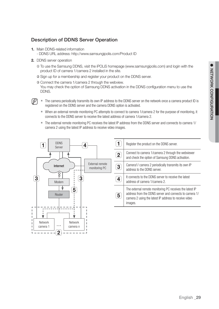## Description of DDNS Server Operation

- **1.** Main DDNS-related information
	- DDNS URL address: http://www.samsungipolis.com/Product ID
- **2.** DDNS server operation
	- ① To use the Samsung DDNS, visit the iPOLiS homepage (www.samsungipolis.com) and login with the product ID of camera 1/camera 2 installed in the site.
	- ② Sign up for a membership and register your product on the DDNS server.

③ Connect the camera 1/camera 2 through the webview. You may check the option of Samsung DDNS activation in the DDNS configuration menu to use the DDNS.

- 
- $\mathbb{Z}$  = The camera periodically transmits its own IP address to the DDNS server on the network once a camera product ID is registered on the DDNS server and the camera DDNS option is activated.
	- When an external remote monitoring PC attempts to connect to camera 1/camera 2 for the purpose of monitoring, it connects to the DDNS server to receive the latest address of camera 1/camera 2.
	- The external remote monitoring PC receives the latest IP address from the DDNS server and connects to camera 1/ camera 2 using the latest IP address to receive video images.



|                | Register the product on the DDNS server.                                                                                                                                               |
|----------------|----------------------------------------------------------------------------------------------------------------------------------------------------------------------------------------|
| 2 <sub>1</sub> | Connect to camera 1/camera 2 through the webviewer<br>and check the option of Samsung DDNS activation.                                                                                 |
|                | Camera1/ camera 2 periodically transmits its own IP<br>address to the DDNS server.                                                                                                     |
|                | It connects to the DDNS server to receive the latest<br>address of camera 1/camera 2.                                                                                                  |
| 5              | The external remote monitoring PC receives the latest IP<br>address from the DDNS server and connects to camera 1/<br>camera 2 using the latest IP address to receive video<br>images. |
|                |                                                                                                                                                                                        |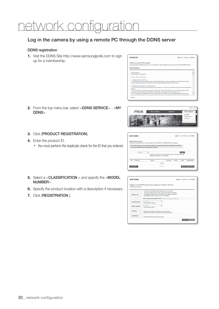## k configuration

### Log in the camera by using a remote PC through the DDNS server

#### DDNS registration

**1.** Visit the DDNS Site http://www.samsungipolis.com to sign up for a membership.



**2.** From the top menu bar, select <DDNS SERVICE> - <MY DDNS>.



- **3.** Click [PRODUCT REGISTRATION].
- **4.** Enter the product ID.
	- You must perform the duplicate check for the ID that you entered.

| <b>Q MY DDNS</b>                                         |                                                                                                 |                                                                        | EL HOME > CONS SERVICE > MY DONS |                    |                  |
|----------------------------------------------------------|-------------------------------------------------------------------------------------------------|------------------------------------------------------------------------|----------------------------------|--------------------|------------------|
| Registered products.                                     | To add more products to your account, please click on PRODUCT REGISTRATION at the botton.       |                                                                        |                                  |                    |                  |
| and it may be different from actual status in real time. | The 'STATUS' of your product has been updated by a specific time period for DDNS communication, |                                                                        |                                  |                    |                  |
| Deadure 20                                               | $\overline{\phantom{a}}$                                                                        |                                                                        |                                  | <b>MAKIN</b>       |                  |
|                                                          | - REGISTRATION DATE: (ex)20130606                                                               | - Product ID , model name , please enter at least 3 characters minimum |                                  |                    |                  |
|                                                          |                                                                                                 |                                                                        |                                  |                    |                  |
| <b>NO</b> Product ID                                     | <b>MODEL</b>                                                                                    | LOCATION                                                               | <b>STATUS</b>                    | <b><i>VIEW</i></b> | <b>MANAGEMEN</b> |
|                                                          |                                                                                                 | nothing                                                                |                                  |                    |                  |

- **5.** Select a <**CLASSIFICATION** > and specify the <**MODEL** NUMBER>.
- **6.** Specify the product location with a description if necessary.
- **7.** Click [REGISTRATION ].

| <b>Q MY DDNS</b>       | EL HORE > DONS Service > PEY DONS                                                                                                                                                                                                                                                     |
|------------------------|---------------------------------------------------------------------------------------------------------------------------------------------------------------------------------------------------------------------------------------------------------------------------------------|
| · Required information | Register a new IPOLIS product and manage your videos in real time.                                                                                                                                                                                                                    |
| PRODUCT ID."           | ( ID must be 4 to 20 alphamenaric characters (A to Z and 6 to 3)<br>To register multiple products, please enter their Product ID separately.<br>- To change the product El, you must delete and re-register the product.<br>· Unavailable ID : union, drog, exec, eg., eg., syvaluest |
|                        | http://www.samsungipolis.com/ Cick here to create a Product ID.                                                                                                                                                                                                                       |
| <b>CLASSIFICATION</b>  | - choose -<br>w<br>+ Choose product category.                                                                                                                                                                                                                                         |
| MODEL NUMBER *         | in thome or<br>$\checkmark$<br>« Choose product model.                                                                                                                                                                                                                                |
| LOCATION               | · Determine the location to leated the avetern for cameral.<br>. Designate the installation location within 10 alphabet letters.                                                                                                                                                      |
| DESCRIPTION            | · Describe product for management purpose.                                                                                                                                                                                                                                            |
|                        | REGISTER » CANCEL »                                                                                                                                                                                                                                                                   |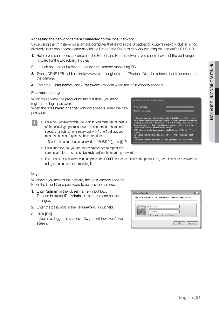#### Accessing the network camera connected to the local network.

Since using the IP Installer on a remote computer that is not in the Broadband Router's network cluster is not allowed, users can access cameras within a Broadband Router's network by using the camera's DDNS URL.

- **1.** Before you can access a camera in the Broadband Router network, you should have set the port range forward for the Broadband Router.
- **2.** Launch an Internet browser on an external remote monitoring PC.
- **3.** Type a DDNS URL address (http://www.samsungipolis.com/Product ID) in the address bar to connect to the camera.
- **4.** Enter the <**User name**> and <**Password**> to login when the login window appears.

#### Password setting

When you access the product for the first time, you must register the login password.

When the "Password change" window appears, enter the new password.

- For a new password with 8 to 9 digits, you must use at least 3 of the following: uppercase/lowercase letters, numbers and special characters. For a password with 10 to 15 digits, you must use at least 2 types of those mentioned.
	- Special characters that are allowed. :  $\sim$ '!@#\$%^\*() -+=|{}[].?/
	- For higher security, you are not recommended to repeat the same characters or consecutive keyboard inputs for your passwords.
	- If you lost your password, you can press the [RESET] button to initialize the product. So, don't lose your password by using a memo pad or memorizing it.

#### Login

Whenever you access the camera, the login window appears. Enter the User ID and password to access the camera.

- **1.** Enter "admin" in the <User name> input box. The administrator ID, "admin", is fixed and can not be changed.
- **2.** Enter the password in the <**Password**> input field.
- **3.** Click [OK].

If you have logged in successfully, you will the Live Viewer screen.

| <b>Windows Security</b> |                                                                      |  |
|-------------------------|----------------------------------------------------------------------|--|
|                         | The server 192.168.1.100 at iPolis requires a username and password. |  |
|                         | User name<br>Password<br>Remember my credentials                     |  |
|                         | Cancel<br>OK                                                         |  |



**Iministrator** nassy

and aboven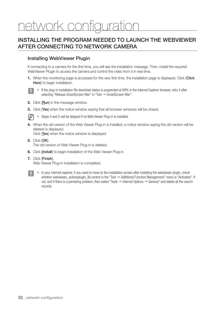# network configuration

## INSTALLING THE PROGRAM NEEDED TO LAUNCH THE WEBVIEWER AFTER CONNECTING TO NETWORK CAMERA

### Installing WebViewer Plugin

If connecting to a camera for the first time, you will see the installation message. Then, install the required WebViewer Plugin to access the camera and control the video from it in real time.

**1.** When the monitoring page is accessed for the very first time, the installation page is displayed. Click [Click Here] to begin installation.



If the plug-in installation file download status is suspended at 99% in the Internet Explorer browser, retry it after selecting "Release SmartScreen filter" in "Tool → SmartScreen filter".

- **2.** Click [Run] in the message window.
- **3.** Click [Yes] when the notice window saying that all browser windows will be closed.



Steps 4 and 5 will be skipped if no Web Viewer Plug-in is installed.

**4.** When the old version of the Web Viewer Plug-in is installed, a notice window saying the old version will be deleted is displayed.

Click [Yes] when the notice window is displayed.

- **5.** Click [OK]. The old version of Web Viewer Plug-in is deleted.
- **6.** Click [Install] to begin installation of the Web Viewer Plug-in.
- **7.** Click [Finish]. Web Viewer Plug-in installation is completed.



 $=$  In your internet explorer, if you need to move to the installation screen after installing the webviewer plugin, check whether webviewer\_activexplugin\_lib.control in the "Tool → Additional Function Management" menu is "Activated". If not, and if there is a persisting problem, then select "Tools  $\rightarrow$  Internet Options  $\rightarrow$  General" and delete all the search records.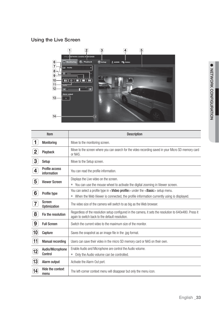## Using the Live Screen



|                    | Item                          | <b>Description</b>                                                                                                                                          |
|--------------------|-------------------------------|-------------------------------------------------------------------------------------------------------------------------------------------------------------|
| 1                  | Monitoring                    | Move to the monitoring screen.                                                                                                                              |
| $\overline{2}$     | Playback                      | Move to the screen where you can search for the video recording saved in your Micro SD memory card<br>or NAS.                                               |
| 3                  | Setup                         | Move to the Setup screen.                                                                                                                                   |
| $\overline{4}$     | Profile access<br>information | You can read the profile information.                                                                                                                       |
| 5                  | <b>Viewer Screen</b>          | Displays the Live video on the screen.                                                                                                                      |
|                    |                               | You can use the mouse wheel to activate the digital zooming in Viewer screen.<br>L.                                                                         |
| 6                  | Profile type                  | You can select a profile type in <video profile=""> under the <basic> setup menu.</basic></video>                                                           |
|                    |                               | When the Web Viewer is connected, the profile information currently using is displayed.<br>ш                                                                |
| 7                  | Screen<br><b>Optimization</b> | The video size of the camera will switch to as big as the Web browser.                                                                                      |
| 8                  | Fix the resolution            | Regardless of the resolution setup configured in the camera, it sets the resolution to 640x480. Press it<br>again to switch back to the default resolution. |
| 9                  | <b>Full Screen</b>            | Switch the current video to the maximum size of the monitor.                                                                                                |
| $ 10\rangle$       | Capture                       | Saves the snapshot as an image file in the .jpg format.                                                                                                     |
| $\bm{ }$ 11        | <b>Manual recording</b>       | Users can save their video in the micro SD memory card or NAS on their own.                                                                                 |
|                    | Audio/Microphone              | Enable Audio and Microphone are control the Audio volume.                                                                                                   |
| $\bm{12}$          | Control                       | Only the Audio volume can be controlled.<br>ш                                                                                                               |
| $\bm{\mathsf{13}}$ | Alarm output                  | Activate the Alarm Out port.                                                                                                                                |
| 14                 | Hide the context<br>menu      | The left-corner context menu will disappear but only the menu icon.                                                                                         |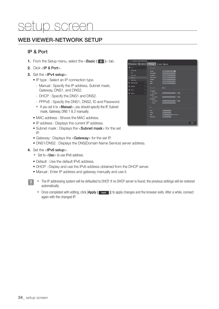## setup screen

## WEB VIEWER-NETWORK SETUP

## IP & Port

- **1.** From the Setup menu, select the  $\leq$  **Basic (** $\mathbb{R}$ )  $>$  tab.
- **2.** Click <IP & Port>.
- **3.** Set the <IPv4 setup>.
	- IP type : Select an IP connection type.
		- Manual : Specify the IP address, Subnet mask, Gateway, DNS1, and DNS2.
		- DHCP : Specify the DNS1 and DNS2.
		- PPPoE : Specify the DNS1, DNS2, ID and Password.
		- If you set it to  $\leq$  Manual  $>$ , you should specify the IP, Subnet mask, Gateway, DNS 1 & 2 manually.
	- MAC address : Shows the MAC address.
	- IP address : Displays the current IP address.
	- Subnet mask : Displays the <Subnet mask> for the set IP.
	- Gateway : Displays the <Gateway> for the set IP.
	- DNS1/DNS2 : Displays the DNS(Domain Name Service) server address.
- **4.** Set the <IPv6 setup>.
	- Set to <**Use**> to use IPv6 address.
	- Default : Use the default IPv6 address.
	- DHCP : Display and use the IPv6 address obtained from the DHCP server.
	- Manual : Enter IP address and gateway manually and use it.
		- $\blacksquare$  The IP addressing system will be defaulted to DHCP. If no DHCP server is found, the previous settings will be restored automatically.
		- Once completed with editing, click  $[Apply ( | \rightarrow_{\text{poly}} )]$  to apply changes and the browser exits. After a while, connect again with the changed IP.

| Monitoring <b>Ch</b> Playback                                                                                   |   | O setup & ADRIX IT's Nation                                                                                                              |                                                                                                                                |
|-----------------------------------------------------------------------------------------------------------------|---|------------------------------------------------------------------------------------------------------------------------------------------|--------------------------------------------------------------------------------------------------------------------------------|
|                                                                                                                 |   |                                                                                                                                          |                                                                                                                                |
| <b>News</b><br>۰                                                                                                |   | <b>TPH setup</b>                                                                                                                         |                                                                                                                                |
| thies profits<br><b>Distri</b><br><b>Side &amp; Time</b><br><b>MARVE</b><br><b>Event setup</b><br>Video & Andio | ٠ | <b>UP firms</b><br><b>MAC address</b><br><b>UP address</b><br><b><i><u>Subset</u></i></b> mest<br><b>Galances</b><br>DASE<br><b>DAVA</b> | ч<br>سن<br><b>WE HAVE THE</b><br><b>FOR DRIL FRIED</b><br>_<br><b>SALTABAL</b><br>__<br><b>TAK EDWARDS</b><br><b>MATERIALE</b> |
| <b>National</b><br>▫                                                                                            | ٠ | <b>Unit select</b>                                                                                                                       | $\blacksquare$ Virt                                                                                                            |
| <b>B</b> first                                                                                                  | ٠ | <b>O</b> Default                                                                                                                         |                                                                                                                                |
| ۰<br>System                                                                                                     | в | <b>Put address</b><br>$+000$<br><b>Pri aldress</b><br><b>O</b> Monet<br><b>Pril address</b><br>Gallerad                                  | л<br>л                                                                                                                         |
|                                                                                                                 |   | Part.                                                                                                                                    |                                                                                                                                |
|                                                                                                                 |   | <b>METP</b><br><b>METPS</b><br><b>ATSP</b><br><b>Device port</b>                                                                         | ▫<br>œ<br><b>C</b> Via Ground<br>m<br><b>STORY</b>                                                                             |
|                                                                                                                 |   |                                                                                                                                          | Apply                                                                                                                          |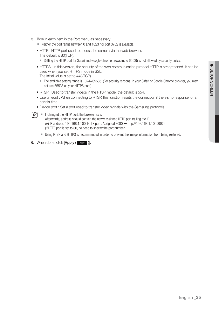- **5.** Type in each item in the Port menu as necessary.
	- Neither the port range between 0 and 1023 nor port 3702 is available.
	- HTTP : HTTP port used to access the camera via the web browser. The default is 80(TCP).
		- Setting the HTTP port for Safari and Google Chrome browsers to 65535 is not allowed by security policy.
	- HTTPS : In this version, the security of the web communication protocol HTTP is strengthened. It can be used when you set HTTPS mode in SSL.
		- The initial value is set to 443(TCP).
		- The available setting range is 1024~65535. (For security reasons, in your Safari or Google Chrome browser, you may not use 65535 as your HTTPS port.)
	- RTSP : Used to transfer videos in the RTSP mode; the default is 554.
	- Use timeout : When connecting to RTSP, this function resets the connection if there's no response for a certain time.
	- Device port : Set a port used to transfer video signals with the Samsung protocols.



- $\mathbb{Z}$   $\blacksquare$  If changed the HTTP port, the browser exits. Afterwards, address should contain the newly assigned HTTP port trailing the IP. ex) IP address: 192.168.1.100, HTTP port : Assigned 8080  $\rightarrow$  http://192.168.1.100:8080 (If HTTP port is set to 80, no need to specify the port number)
	- Using RTSP and HTTPS is recommended in order to prevent the image information from being restored.
- **6.** When done, click [Apply (Apply )].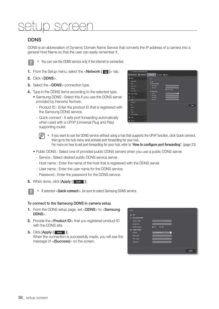## setup screen

## **DDNS**

DDNS is an abbreviation of Dynamic Domain Name Service that converts the IP address of a camera into a general Host Name so that the user can easily remember it.



 $\blacksquare$  You can use the DDNS service only if the internet is connected.

- **1.** From the Setup menu, select the  $\langle$  **Network (** $\Box$ **)**  $>$  tab.
- **2.** Click <DDNS>.
- **3.** Select the <DDNS> connection type.
- **4.** Type in the DDNS items according to the selected type.
	- Samsung DDNS : Select this if you use the DDNS server provided by Hanwha Techwin.
		- Product ID : Enter the product ID that is registered with the Samsung DDNS service.
		- Quick connect : It sets port forwarding automatically when used with a UPnP (Universal Plug and Play) supporting router.



- $\mathbb{Z}$  = If you want to use the DDNS service without using a hub that supports the UPnP function, click Quick connect, then go to the hub menu and activate port forwarding for your hub. For more on how to set port forwarding for your hub, refer to "How to configure port forwarding". (page 23)
- Public DDNS : Select one of provided public DDNS servers when you use a public DDNS server.
	- Service : Select desired public DDNS service server.
	- Host name : Enter the name of the host that is registered with the DDNS server.
	- User name : Enter the user name for the DDNS service.
	- Password : Enter the password for the DDNS service.
- **5.** When done, click [Apply (Apply )].



 $\blacksquare$  If selected <**Quick connect**>, be sure to select Samsung DDNS service.

#### To connect to the Samsung DDNS in camera setup

- **1.** From the DDNS setup page, set <DDNS> to <Samsung DDNS>.
- **2.** Provide the <**Product ID**> that you registered product ID with the DDNS site.
- **3.** Click [Apply ( Apply )].

When the connection is successfully made, you will see the message of <(Success)> on the screen.

| $•$ on                           |                                 |
|----------------------------------|---------------------------------|
| <b>Samsung DDNS</b><br>$\bullet$ |                                 |
| <b>Server name</b>               | <b>MAN EXPERIENCE ON COR</b>    |
| <b>Product ID</b>                |                                 |
| <b>Quick connect</b>             | $O$ $Off$<br>$\bullet$ On       |
| <b>Public DDNS</b>               |                                 |
| Service                          | $\overline{a}$<br>sning distant |
| <b>Host name</b>                 |                                 |
| <b>User name</b>                 |                                 |
| Password                         |                                 |
|                                  |                                 |
|                                  |                                 |
|                                  |                                 |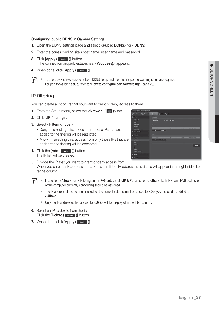#### Configuring public DDNS in Camera Settings

- **1.** Open the DDNS settings page and select <**Public DDNS**> for <**DDNS**>.
- **2.** Enter the corresponding site's host name, user name and password.
- **3.** Click [Apply ( Apply )] button. If the connection properly establishes, <(Success)> appears.
- 4. When done, click [Apply (Apply )].
- $\mathbb{Z}$   $\blacksquare$  To use DDNS service properly, both DDNS setup and the router's port forwarding setup are required. For port forwarding setup, refer to "**How to configure port forwarding**". (page 23)

### IP filtering

You can create a list of IPs that you want to grant or deny access to them.

- **1.** From the Setup menu, select the  $\langle \mathbf{r} | \mathbf{r} \rangle$   $\langle \mathbf{r} | \mathbf{r} \rangle$   $\rangle$  tab.
- **2.** Click <IP filtering>.
- **3.** Select <Filtering type>.
	- Deny : If selecting this, access from those IPs that are added to the filtering will be restricted.
	- Allow : If selecting this, access from only those IPs that are added to the filtering will be accepted.
- 4. Click the [Add (  $\sqrt{AA}$  )] button. The IP list will be created.
- **5.** Provide the IP that you want to grant or deny access from.

When you enter an IP address and a Prefix, the list of IP addresses available will appear in the right-side filter range column.

- $\mathbb{Z}$  = If selected <Allow> for IP Filtering and <IPv6 setup> of <IP & Port> is set to <Use>, both IPv4 and IPv6 addresses of the computer currently configuring should be assigned.
	- The IP address of the computer used for the current setup cannot be added to  $\lt$ Deny>, it should be added to <Allow>.
	- $\blacksquare$  Only the IP addresses that are set to  $\lt$ Use will be displayed in the filter column.
- **6.** Select an IP to delete from the list. Click the [Delete ( Delete )] button.
- **7.** When done, click [Apply ( Apply )].

| <b>LUXURE ENTIRE CAMERA WEIGHT INCH.</b>           |                                                           |
|----------------------------------------------------|-----------------------------------------------------------|
| Mentioring (R) Phytoch                             | <b>Chang</b><br>3 Abres 10 Mates                          |
| <b>Bank</b>                                        | - 1<br><b>DOM</b>                                         |
| <b>Video profile</b><br><b>MARK</b><br>Data & Time | O lives Winn<br><b>Filtering type</b><br><b>Invit</b>     |
| <b>UP &amp; Part</b><br><b>Event setup</b>         | ×<br>Pontiac<br><b>Ellisoing rooms</b><br><b>With</b>     |
| Video & Audio<br>٠                                 | AM Debts                                                  |
| ٠                                                  | œ                                                         |
| <b>DOM</b>                                         | ×<br><b><i><u>STEATHER SHARE</u></i></b><br>Position<br>- |
| <b>U Glassy</b>                                    | Add Debte                                                 |
| $\blacksquare$                                     |                                                           |
| <b>WELL</b>                                        |                                                           |
| w.                                                 |                                                           |
| ÷.                                                 |                                                           |
| Auto IP configure                                  |                                                           |
| <b>Send</b><br>D                                   |                                                           |
| <b>Seutem</b><br>٠                                 |                                                           |
|                                                    |                                                           |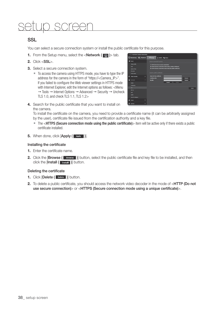## setup screen

## SSL

You can select a secure connection system or install the public certificate for this purpose.

- **1.** From the Setup menu, select the  $\langle$  **Network (** $\langle \cdot \rangle$  > tab.
- **2.** Click <SSL>.
- **3.** Select a secure connection system.
	- To access the camera using HTTPS mode, you have to type the IP address for the camera in the form of "https://<Camera\_IP>". If you failed to configure the Web viewer settings in HTTPS mode with Internet Explorer, edit the Internet options as follows: <Menu  $\rightarrow$  Tools  $\rightarrow$  Internet Options  $\rightarrow$  Advanced  $\rightarrow$  Security  $\rightarrow$  Uncheck TLS 1.0, and check TLS 1.1, TLS 1.2>

| Monitoring <b>Oh</b> Playback                                                               | <b>Chang</b>                                                                            | <b>Z ADMIN 17% Market</b>                                                                                                                                             |
|---------------------------------------------------------------------------------------------|-----------------------------------------------------------------------------------------|-----------------------------------------------------------------------------------------------------------------------------------------------------------------------|
| <b>Basic</b><br>×<br>tides profits<br><b>That</b><br><b>Side &amp; Time</b><br><b>MARKE</b> | <b>ATTACHED</b><br><b><i><u>Section</u></i></b> system<br>trentedt a public contribucts | C HTTP (be not and secure connection)<br>@ HTTPS (Secure consection mode using a unique certificate)<br>@ HTTPS (Sucure consection mode using the public certificate) |
| <b>Event setup</b><br>Video & Andre<br>D<br><b>Noticed</b><br>۰<br>۰                        | Name for the certificate<br><b>Cortificate file</b><br><b>Key life</b>                  | <b>Bayana</b><br><b>Browne</b>                                                                                                                                        |
| <b>TICAIS</b><br><b>IF Sharing</b>                                                          |                                                                                         | Install                                                                                                                                                               |
| 802.34<br>ois<br>tare<br><b>Ads IP collars</b>                                              |                                                                                         |                                                                                                                                                                       |
| <b>System</b><br>п                                                                          |                                                                                         |                                                                                                                                                                       |
| <b>System</b><br>о                                                                          |                                                                                         |                                                                                                                                                                       |

**4.** Search for the public certificate that you want to install on the camera.

To install the certificate on the camera, you need to provide a certificate name (it can be arbitrarily assigned by the user), certificate file issued from the certification authority and a key file.

- The <**HTTPS (Secure connection mode using the public certificate)**> item will be active only if there exists a public certificate installed.
- **5.** When done, click [Apply (Apply )].

#### Installing the certificate

- **1.** Enter the certificate name.
- **2.** Click the [Browse (Browse )] button, select the public certificate file and key file to be installed, and then click the [Install ( Install )] button.

#### Deleting the certificate

- **1.** Click [Delete ( Delete )] button.
- **2.** To delete a public certificate, you should access the network video decoder in the mode of <HTTP (Do not use secure connection)> or <HTTPS (Secure connection mode using a unique certificate)>.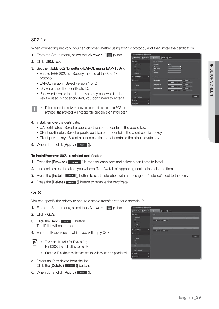## 802.1x

When connecting network, you can choose whether using 802.1x protocol, and then install the certification.

- **1.** From the Setup menu, select the <**Network (** $\Box$ **)** > tab.
- **2.** Click <802.1x>.
- **3.** Set the <IEEE 802.1x setting(EAPOL using EAP-TLS)>.
	- Enable IEEE 802.1x : Specify the use of the 802.1x protocol.
	- EAPOL version : Select version 1 or 2.
	- ID : Enter the client certificate ID.
	- Password : Enter the client private key password. If the key file used is not encrypted, you don't need to enter it.
	- $\blacksquare$  If the connected network device does not support the 802.1x protocol, the protocol will not operate properly even if you set it.
- **4.** Install/remove the certificate.
	- CA certificates : Select a public certificate that contains the public key.
	- Client certificate : Select a public certificate that contains the client certificate key.
	- Client private key : Select a public certificate that contains the client private key.
- **5.** When done, click [Apply ( Apply )].

#### To install/remove 802.1x related certificates

- **1.** Press the [**Browse** (**Browse** )] button for each item and select a certificate to install.
- **2.** If no certificate is installed, you will see "Not Available" appearing next to the selected item.
- **3.** Press the [Install ( Install )] button to start installation with a message of "Installed" next to the item.
- 4. Press the [Delete ( Delete )] button to remove the certificate.

### QoS

You can specify the priority to secure a stable transfer rate for a specific IP.

- **1.** From the Setup menu, select the  $\langle$  **Network (** $\Box$ **)** tab.
- **2.** Click <QoS>.
- **3.** Click the [Add (  $\overline{A}$  ad )] button. The IP list will be created.
- **4.** Enter an IP address to which you will apply QoS.
- $\mathbb{Z}$  = The default prefix for IPv4 is 32; For DSCP, the default is set to 63.
	- $\blacksquare$  Only the IP addresses that are set to  $<$  Use  $>$  can be prioritized.
- **5.** Select an IP to delete from the list. Click the [Delete ( Delete )] button.
- **6.** When done, click **[Apply (**  $\bullet$   $\bullet$   $\bullet\bullet\bullet\bullet$  )].



| ks profits              |   | <b>THE MELSE</b><br><b>EAP Type</b> | - 11<br><b>CONTRACTOR</b> | v                              |                |              |
|-------------------------|---|-------------------------------------|---------------------------|--------------------------------|----------------|--------------|
| <b><i>In K Time</i></b> |   | <b>LAPOL werden</b><br>٠            |                           | E                              |                |              |
| <b>Lifet</b>            |   | <b>Password</b>                     |                           |                                |                |              |
| ert seha                |   |                                     |                           |                                |                |              |
| les & Audio             | P | Gentleman                           |                           |                                |                |              |
| ms.                     | ۰ | <b>CA contificates</b>              |                           |                                | <b>Browns</b>  |              |
|                         |   |                                     | <b>Includ</b>             | <b>District</b>                |                |              |
| ning                    |   | <b>Client</b> certificate           |                           |                                | <b>Basers</b>  |              |
|                         |   | Class private Kry                   | <b>Section</b>            | <b>CONTRACTOR</b>              | <b>Bringia</b> |              |
| m.                      |   |                                     | <b>Include</b>            | <b>The State of Concession</b> |                |              |
|                         |   |                                     |                           |                                |                |              |
|                         |   |                                     |                           |                                |                |              |
| a IP configur           |   |                                     |                           |                                |                | <b>Aught</b> |
|                         | в |                                     |                           |                                |                |              |
| tom.                    | ۰ |                                     |                           |                                |                |              |
|                         |   |                                     |                           |                                |                |              |
|                         |   |                                     |                           |                                |                |              |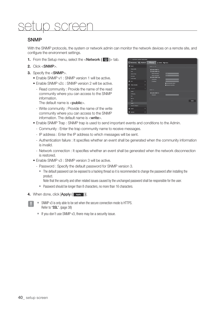## setup screen

### **SNMP**

With the SNMP protocols, the system or network admin can monitor the network devices on a remote site, and configure the environment settings.

- **1.** From the Setup menu, select the  $\langle$  **Network (** $\Box$ **)** tab.
- **2.** Click <SNMP>.
- **3.** Specify the <SNMP>.
	- Enable SNMP v1 : SNMP version 1 will be active.
	- Enable SNMP v2c : SNMP version 2 will be active.
		- Read community : Provide the name of the read community where you can access to the SNMP information.

The default name is  $\langle$  sublic $\rangle$ .

- Write community : Provide the name of the write community where you can access to the SNMP information. The default name is <write>.



- Enable SNMP Trap : SNMP trap is used to send important events and conditions to the Admin.
	- Community : Enter the trap community name to receive messages.
	- IP address : Enter the IP address to which messages will be sent.
	- Authentication failure : It specifies whether an event shall be generated when the community information is invalid.
	- Network connection : It specifies whether an event shall be generated when the network disconnection is restored.
- Enable SNMP v3 : SNMP version 3 will be active.
	- Password : Specify the default password for SNMP version 3.
		- The default password can be exposed to a hacking thread so it is recommended to change the password after installing the product.

Note that the security and other related issues caused by the unchanged password shall be responsible for the user.

- Password should be longer than 8 characters, no more than 16 characters.
- 4. When done, click [Apply (Apply )].
	- $\blacksquare$  SNMP v3 is only able to be set when the secure connection mode is HTTPS. Refer to "SSL". (page 38)
	- $\blacksquare$  If you don't use SNMP v3, there may be a security issue.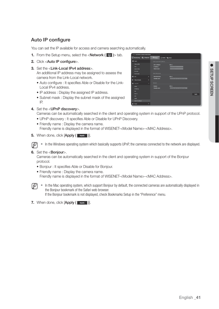## Auto IP configure

You can set the IP available for access and camera searching automatically.

- **1.** From the Setup menu, select the <**Network (** $\Box$ **)** > tab.
- **2.** Click <Auto IP configure>.
- **3.** Set the <**Link-Local IPv4 address**>

An additional IP address may be assigned to assess the camera from the Link-Local network.

- Auto configure : It specifies Able or Disable for the Link-Local IPv4 address.
- IP address : Display the assigned IP address.
- Subnet mask : Display the subnet mask of the assigned IP.
- **4.** Set the <**UPnP discovery**>.



- UPnP discovery : It specifies Able or Disable for UPnP Discovery.
- Friendly name : Display the camera name. Friendly name is displayed in the format of WISENET-<Model Name>-<MAC Address>.
- **5.** When done, click [Apply ( Apply )].



**6.** Set the <**Bonjour**>.

Cameras can be automatically searched in the client and operating system in support of the Bonjour protocol.

- Bonjour : It specifies Able or Disable for Bonjour.
- Friendly name : Display the camera name.

Friendly name is displayed in the format of WISENET-<Model Name>-<MAC Address>.



IM  $\blacksquare$  In the Mac operating system, which support Bonjour by default, the connected cameras are automatically displayed in the Bonjour bookmark of the Safari web browser. If the Bonjour bookmark is not displayed, check Bookmarks Setup in the "Preference" menu.

**7.** When done, click [Apply (Apply )].

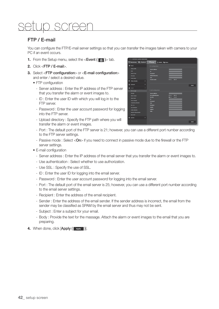## setup screen

## FTP / E-mail

You can configure the FTP/E-mail server settings so that you can transfer the images taken with camera to your PC if an event occurs.

- **1.** From the Setup menu, select the  $\leq$  **Event (** $\leq$ )  $\geq$  tab.
- **2.** Click <FTP / E-mail>.
- **3.** Select <**FTP configuration**> or <**E-mail configuration**> and enter / select a desired value.
	- FTP configuration
		- Server address : Enter the IP address of the FTP server that you transfer the alarm or event images to.
		- ID : Enter the user ID with which you will log in to the FTP server.
		- Password : Enter the user account password for logging into the FTP server.
		- Upload directory : Specify the FTP path where you will transfer the alarm or event images.
		- Port : The default port of the FTP server is 21; however, you can use a different port number according to the FTP server settings.
		- Passive mode : Select < On > if you need to connect in passive mode due to the firewall or the FTP server settings.
	- E-mail configuration
		- Server address : Enter the IP address of the email server that you transfer the alarm or event images to.
		- Use authentication : Select whether to use authorization.
		- Use SSL : Specify the use of SSL.
		- ID : Enter the user ID for logging into the email server.
		- Password : Enter the user account password for logging into the email server.
		- Port : The default port of the email server is 25; however, you can use a different port number according to the email server settings.
		- Recipient : Enter the address of the email recipient.
		- Sender : Enter the address of the email sender. If the sender address is incorrect, the email from the sender may be classified as SPAM by the email server and thus may not be sent.
		- Subject : Enter a subject for your email.
		- Body : Provide the text for the massage. Attach the alarm or event images to the email that you are preparing.
- 4. When done, click [Apply ( Apply )].

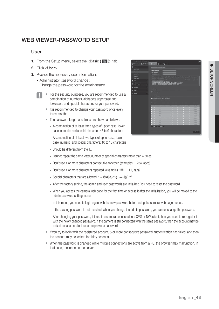## WEB VIEWER-PASSWORD SETUP

#### User

- **1.** From the Setup menu, select the  $\langle$ **Basic (** $\mathbb{R}$ )  $>$  tab.
- **2.** Click <User>.
- **3.** Provide the necessary user information.
	- Administrator password change : Change the password for the administrator.
		- For the security purposes, you are recommended to use a combination of numbers, alphabets uppercase and lowercase and special characters for your password.
			- It is recommended to change your password once every three months.
			- The password length and limits are shown as follows.
				- A combination of at least three types of upper case, lower case, numeric, and special characters: 8 to 9 characters.
				- A combination of at least two types of upper case, lower case, numeric, and special characters: 10 to 15 characters.
				- Should be different from the ID.
				- Cannot repeat the same letter, number of special characters more than 4 times.
				- Don't use 4 or more characters consecutive together. (examples : 1234, abcd)
				- Don't use 4 or more characters repeated. (examples : !!!!, 1111, aaaa)
				- Special characters that are allowed. :  $\sim$ '!@#\$%^\*0\_-+=|{}[1.?/
				- After the factory setting, the admin and user passwords are initialized. You need to reset the password.
				- When you access the camera web page for the first time or access it after the initialization, you will be moved to the admin password setting menu.
				- In this menu, you need to login again with the new password before using the camera web page menus.
				- If the existing password is not matched, when you change the admin password, you cannot change the password.
				- After changing your password, if there is a camera connected to a CMS or NVR client, then you need to re-register it with the newly changed password. If the camera is still connected with the same password, then the account may be locked because a client uses the previous password.
			- If you try to login with the registered account, 5 or more consecutive password authentication has failed, and then the account may be locked for thirty seconds.
			- When the password is changed while multiple connections are active from a PC, the browser may malfunction. In that case, reconnect to the server.

|                                | <b>IPSILIS INSTRUMES CAMERA WEDNINGH</b> |                           |                                         |                                                                                                                                                                                                                                            |                   |                      |   |                                 |
|--------------------------------|------------------------------------------|---------------------------|-----------------------------------------|--------------------------------------------------------------------------------------------------------------------------------------------------------------------------------------------------------------------------------------------|-------------------|----------------------|---|---------------------------------|
| <b>Beacharing (R)</b> Playback |                                          |                           | Chieter Labor Hamme                     |                                                                                                                                                                                                                                            |                   |                      |   |                                 |
| <b>Seek</b>                    |                                          |                           | <b>International processed change</b>   |                                                                                                                                                                                                                                            |                   |                      |   |                                 |
| <b>Value profits</b>           |                                          | <b>Cornel password</b>    |                                         |                                                                                                                                                                                                                                            |                   |                      |   |                                 |
| $\sim$                         |                                          | <b>ANTIQUES</b>           |                                         |                                                                                                                                                                                                                                            |                   |                      |   |                                 |
| <b>Caro &amp; Time</b>         |                                          | <b>Castlers percented</b> |                                         |                                                                                                                                                                                                                                            |                   |                      |   |                                 |
| <b>IF&amp; Right</b>           |                                          |                           |                                         |                                                                                                                                                                                                                                            |                   |                      |   |                                 |
| <b>Contactor</b>               |                                          |                           |                                         |                                                                                                                                                                                                                                            |                   |                      |   |                                 |
| <b>PEE</b>                     | п                                        |                           |                                         |                                                                                                                                                                                                                                            |                   |                      |   |                                 |
|                                |                                          |                           |                                         |                                                                                                                                                                                                                                            |                   |                      |   |                                 |
| Video & Acade                  | ٠                                        |                           |                                         | If the noncontract to be followed long, these it distributes a section<br>and of at least from terms and the CD shall be a section of the local<br>contract section of the CD shall because the contract in a section of<br>$\sigma$ is th |                   |                      |   |                                 |
|                                | п                                        |                           |                                         |                                                                                                                                                                                                                                            |                   |                      |   |                                 |
|                                |                                          | <b>Complete Service</b>   |                                         |                                                                                                                                                                                                                                            |                   |                      |   |                                 |
| <b>C</b> from                  | E                                        |                           |                                         |                                                                                                                                                                                                                                            |                   |                      |   |                                 |
|                                |                                          | <b>Eight part area</b>    |                                         |                                                                                                                                                                                                                                            |                   |                      |   |                                 |
|                                |                                          |                           |                                         |                                                                                                                                                                                                                                            |                   |                      |   |                                 |
| <b>D</b> Section               | c                                        |                           | <b>Ends the unsafer atted adventure</b> |                                                                                                                                                                                                                                            |                   |                      |   |                                 |
|                                |                                          | <b>Cornel paint</b>       |                                         |                                                                                                                                                                                                                                            |                   |                      |   |                                 |
|                                |                                          | <br>n                     | <b>Total</b>                            | Fatework<br><b>Judie In</b>                                                                                                                                                                                                                | <b>Andre Cod.</b> | <b>Above serious</b> | m | <b>Parties</b><br><b>Select</b> |
|                                |                                          | o                         | $-1$<br>$-1$                            |                                                                                                                                                                                                                                            | t,                | o                    | o | <b>SHOW</b>                     |
|                                |                                          | n                         | $-1$                                    | o                                                                                                                                                                                                                                          | b                 | o                    | o | <b>Side of</b>                  |
|                                |                                          |                           | $-1$                                    | o                                                                                                                                                                                                                                          | o                 | ۰                    |   | <b>Delta</b>                    |
|                                |                                          | n                         | <b>Service</b>                          |                                                                                                                                                                                                                                            | n                 |                      | n | <b>Select</b>                   |
|                                |                                          | o                         | $-1$                                    |                                                                                                                                                                                                                                            | o                 | o                    | o | <b>Sales Ave</b>                |
|                                |                                          | ▫                         | $-1$                                    | o                                                                                                                                                                                                                                          | o                 | o                    | o | <b>SALE</b>                     |
|                                |                                          |                           | -<br>ـ                                  |                                                                                                                                                                                                                                            |                   |                      |   | <b>Tallied</b>                  |
|                                |                                          | o                         | <b>Service</b>                          |                                                                                                                                                                                                                                            |                   |                      | o | <b>Select</b>                   |
|                                |                                          | n                         | -                                       |                                                                                                                                                                                                                                            |                   |                      |   | <b>Talka A</b>                  |
|                                | . .                                      |                           | AAI Dahib                               |                                                                                                                                                                                                                                            |                   |                      |   |                                 |
|                                |                                          |                           |                                         |                                                                                                                                                                                                                                            |                   |                      |   |                                 |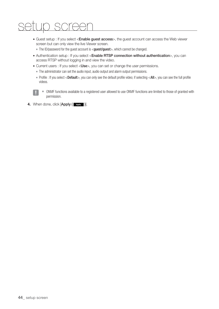## setup screen

• Guest setup : If you select <Enable guest access>, the guest account can access the Web viewer screen but can only view the live Viewer screen.

The ID/password for the guest account is <guest/guest>, which cannot be changed.

- Authentication setup : If you select <Enable RTSP connection without authentication>, you can access RTSP without logging in and view the video.
- Current users : If you select <Use>, you can set or change the user permissions.
	- The administrator can set the audio input, audio output and alarm output permissions.
	- Profile : If you select <Default>, you can only see the default profile video; if selecting <All>, you can see the full profile videos.
		- ONVIF functions available to a registered user allowed to use ONVIF functions are limited to those of granted with permission.
- 4. When done, click [Apply (**Apply** )].